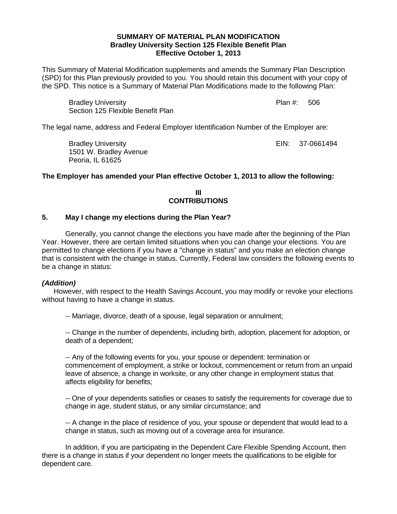## **SUMMARY OF MATERIAL PLAN MODIFICATION Bradley University Section 125 Flexible Benefit Plan Effective October 1, 2013**

This Summary of Material Modification supplements and amends the Summary Plan Description (SPD) for this Plan previously provided to you. You should retain this document with your copy of the SPD. This notice is a Summary of Material Plan Modifications made to the following Plan:

Section 125 Flexible Benefit Plan Plan #: 506

The legal name, address and Federal Employer Identification Number of the Employer are:

Bradley University **EXALL EXACUTE:** EIN: 37-0661494 1501 W. Bradley Avenue Peoria, IL 61625

Bradley University

## **The Employer has amended your Plan effective October 1, 2013 to allow the following:**

**III CONTRIBUTIONS**

#### **5. May I change my elections during the Plan Year?**

Generally, you cannot change the elections you have made after the beginning of the Plan Year. However, there are certain limited situations when you can change your elections. You are permitted to change elections if you have a "change in status" and you make an election change that is consistent with the change in status. Currently, Federal law considers the following events to be a change in status:

## *(Addition)*

However, with respect to the Health Savings Account, you may modify or revoke your elections without having to have a change in status.

-- Marriage, divorce, death of a spouse, legal separation or annulment;

-- Change in the number of dependents, including birth, adoption, placement for adoption, or death of a dependent;

-- Any of the following events for you, your spouse or dependent: termination or commencement of employment, a strike or lockout, commencement or return from an unpaid leave of absence, a change in worksite, or any other change in employment status that affects eligibility for benefits;

-- One of your dependents satisfies or ceases to satisfy the requirements for coverage due to change in age, student status, or any similar circumstance; and

-- A change in the place of residence of you, your spouse or dependent that would lead to a change in status, such as moving out of a coverage area for insurance.

In addition, if you are participating in the Dependent Care Flexible Spending Account, then there is a change in status if your dependent no longer meets the qualifications to be eligible for dependent care.